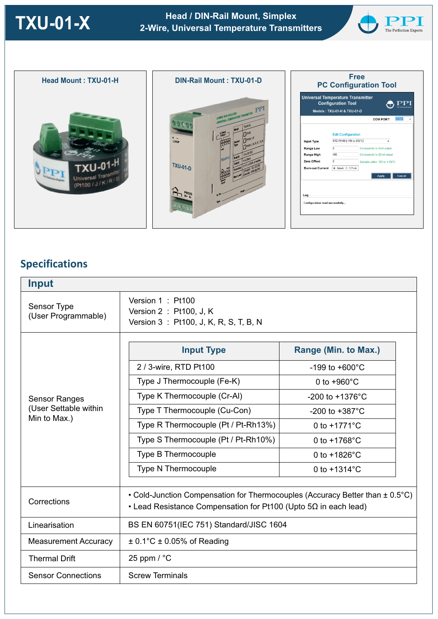**TXU-01-X Head / DIN-Rail Mount, Simplex 2-Wire, Universal Temperature Transmitters**





# **Specifications**

| <b>Input</b>                                                  |                                                                                                                                                             |                             |
|---------------------------------------------------------------|-------------------------------------------------------------------------------------------------------------------------------------------------------------|-----------------------------|
| Sensor Type<br>(User Programmable)                            | Version 1: Pt100<br>Version 2 : Pt100, J, K<br>Version 3: Pt100, J, K, R, S, T, B, N                                                                        |                             |
| <b>Sensor Ranges</b><br>(User Settable within<br>Min to Max.) | <b>Input Type</b>                                                                                                                                           | Range (Min. to Max.)        |
|                                                               | 2 / 3-wire, RTD Pt100                                                                                                                                       | $-199$ to $+600^{\circ}$ C  |
|                                                               | Type J Thermocouple (Fe-K)                                                                                                                                  | 0 to $+960^{\circ}$ C       |
|                                                               | Type K Thermocouple (Cr-Al)                                                                                                                                 | $-200$ to $+1376^{\circ}$ C |
|                                                               | Type T Thermocouple (Cu-Con)                                                                                                                                | -200 to $+387^{\circ}$ C    |
|                                                               | Type R Thermocouple (Pt / Pt-Rh13%)                                                                                                                         | 0 to $+1771^{\circ}$ C      |
|                                                               | Type S Thermocouple (Pt / Pt-Rh10%)                                                                                                                         | 0 to $+1768^{\circ}$ C      |
|                                                               | <b>Type B Thermocouple</b>                                                                                                                                  | 0 to $+1826^{\circ}$ C      |
|                                                               | <b>Type N Thermocouple</b>                                                                                                                                  | 0 to $+1314^{\circ}$ C      |
| Corrections                                                   | • Cold-Junction Compensation for Thermocouples (Accuracy Better than $\pm$ 0.5°C)<br>• Lead Resistance Compensation for Pt100 (Upto $5\Omega$ in each lead) |                             |
| Linearisation                                                 | BS EN 60751(IEC 751) Standard/JISC 1604                                                                                                                     |                             |
| <b>Measurement Accuracy</b>                                   | $\pm$ 0.1°C $\pm$ 0.05% of Reading                                                                                                                          |                             |
| <b>Thermal Drift</b>                                          | 25 ppm $/$ °C                                                                                                                                               |                             |
| <b>Sensor Connections</b>                                     | <b>Screw Terminals</b>                                                                                                                                      |                             |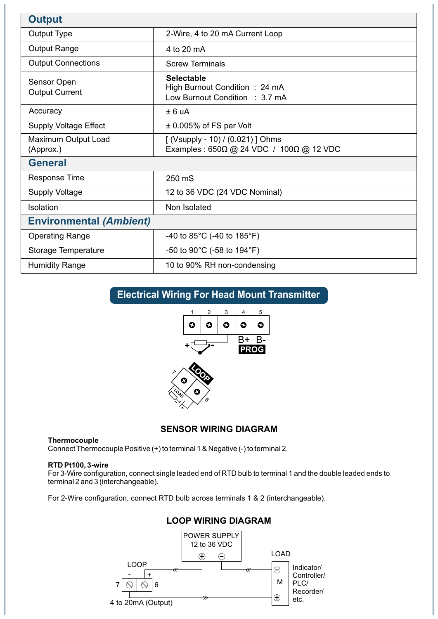| <b>Output</b>                        |                                                                                      |  |
|--------------------------------------|--------------------------------------------------------------------------------------|--|
| Output Type                          | 2-Wire, 4 to 20 mA Current Loop                                                      |  |
| <b>Output Range</b>                  | 4 to 20 mA                                                                           |  |
| <b>Output Connections</b>            | <b>Screw Terminals</b>                                                               |  |
| Sensor Open<br><b>Output Current</b> | <b>Selectable</b><br>High Burnout Condition: 24 mA<br>Low Burnout Condition : 3.7 mA |  |
| Accuracy                             | ± 6 uA                                                                               |  |
| <b>Supply Voltage Effect</b>         | $\pm$ 0.005% of FS per Volt                                                          |  |
| Maximum Output Load<br>(Approx.)     | [ (Vsupply - 10) / (0.021) ] Ohms<br>Examples: 650Ω @ 24 VDC / 100Ω @ 12 VDC         |  |
| <b>General</b>                       |                                                                                      |  |
| <b>Response Time</b>                 | 250 mS                                                                               |  |
| <b>Supply Voltage</b>                | 12 to 36 VDC (24 VDC Nominal)                                                        |  |
| Isolation                            | Non Isolated                                                                         |  |
| <b>Environmental (Ambient)</b>       |                                                                                      |  |
| <b>Operating Range</b>               | -40 to $85^{\circ}$ C (-40 to 185 $^{\circ}$ F)                                      |  |
| Storage Temperature                  | -50 to 90 $^{\circ}$ C (-58 to 194 $^{\circ}$ F)                                     |  |
| <b>Humidity Range</b>                | 10 to 90% RH non-condensing                                                          |  |

## **Electrical Wiring For Head Mount Transmitter**





## **SENSOR WIRING DIAGRAM**

### **Thermocouple**

Connect Thermocouple Positive (+) to terminal 1 & Negative (-) to terminal 2.

## **RTD Pt100, 3-wire**

For 3-Wire configuration, connect single leaded end of RTD bulb to terminal 1 and the double leaded ends to terminal 2 and 3 (interchangeable).

For 2-Wire configuration, connect RTD bulb across terminals 1 & 2 (interchangeable).



## **LOOP WIRING DIAGRAM**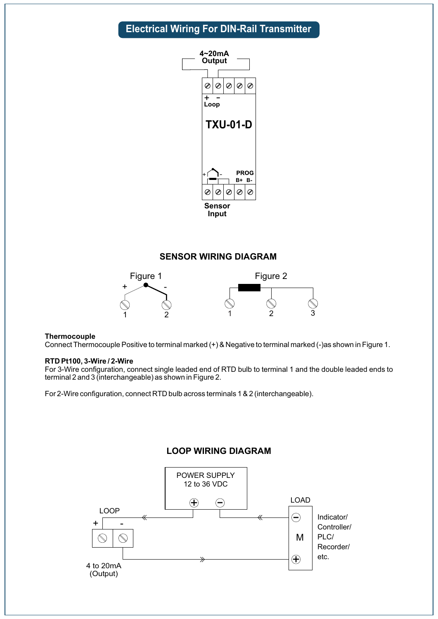# **Electrical Wiring For DIN-Rail Transmitter**



## **SENSOR WIRING DIAGRAM**



#### **Thermocouple**

Connect Thermocouple Positive to terminal marked (+) & Negative to terminal marked (-)as shown in Figure 1.

#### **RTD Pt100, 3-Wire / 2-Wire**

For 3-Wire configuration, connect single leaded end of RTD bulb to terminal 1 and the double leaded ends to terminal 2 and 3 (interchangeable) as shown in Figure 2.

For 2-Wire configuration, connect RTD bulb across terminals 1 & 2 (interchangeable).